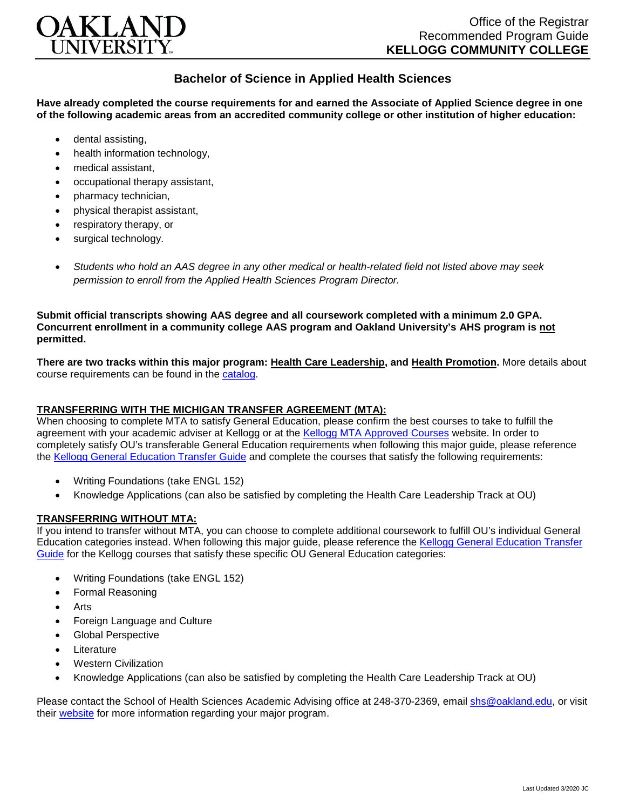

## **Bachelor of Science in Applied Health Sciences**

**Have already completed the course requirements for and earned the Associate of Applied Science degree in one of the following academic areas from an accredited community college or other institution of higher education:**

- dental assisting,
- health information technology.
- medical assistant,
- occupational therapy assistant,
- pharmacy technician,
- physical therapist assistant,
- respiratory therapy, or
- surgical technology.
- *Students who hold an AAS degree in any other medical or health-related field not listed above may seek permission to enroll from the Applied Health Sciences Program Director.*

**Submit official transcripts showing AAS degree and all coursework completed with a minimum 2.0 GPA. Concurrent enrollment in a community college AAS program and Oakland University's AHS program is not permitted.**

**There are two tracks within this major program: Health Care Leadership, and Health Promotion.** More details about course requirements can be found in the [catalog.](http://catalog.oakland.edu/preview_program.php?catoid=44&poid=6779)

## **TRANSFERRING WITH THE MICHIGAN TRANSFER AGREEMENT (MTA):**

When choosing to complete MTA to satisfy General Education, please confirm the best courses to take to fulfill the agreement with your academic adviser at Kellogg or at the [Kellogg MTA Approved Courses](http://catalog.kellogg.edu/content.php?catoid=12&navoid=621#michigan-transfer-agreement) website. In order to completely satisfy OU's transferable General Education requirements when following this major guide, please reference the [Kellogg General Education Transfer Guide](https://www.oakland.edu/Assets/Oakland/program-guides/kellogg-community-college/university-general-education-requirements/Kellogg%20Gen%20Ed.pdf) and complete the courses that satisfy the following requirements:

- Writing Foundations (take ENGL 152)
- Knowledge Applications (can also be satisfied by completing the Health Care Leadership Track at OU)

## **TRANSFERRING WITHOUT MTA:**

If you intend to transfer without MTA, you can choose to complete additional coursework to fulfill OU's individual General Education categories instead. When following this major guide, please reference the [Kellogg General Education Transfer](https://www.oakland.edu/Assets/Oakland/program-guides/kellogg-community-college/university-general-education-requirements/Kellogg%20Gen%20Ed.pdf)  [Guide](https://www.oakland.edu/Assets/Oakland/program-guides/kellogg-community-college/university-general-education-requirements/Kellogg%20Gen%20Ed.pdf) for the Kellogg courses that satisfy these specific OU General Education categories:

- Writing Foundations (take ENGL 152)
- Formal Reasoning
- Arts
- Foreign Language and Culture
- Global Perspective
- Literature
- Western Civilization
- Knowledge Applications (can also be satisfied by completing the Health Care Leadership Track at OU)

Please contact the School of Health Sciences Academic Advising office at 248-370-2369, email [shs@oakland.edu,](mailto:shs@oakland.edu) or visit their [website](http://www.oakland.edu/shs/advising) for more information regarding your major program.